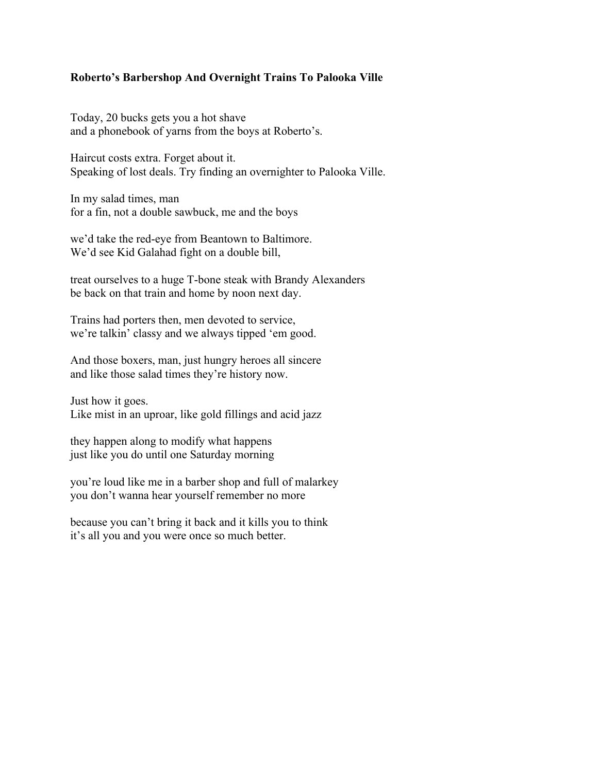## **Roberto's Barbershop And Overnight Trains To Palooka Ville**

Today, 20 bucks gets you a hot shave and a phonebook of yarns from the boys at Roberto's.

Haircut costs extra. Forget about it. Speaking of lost deals. Try finding an overnighter to Palooka Ville.

In my salad times, man for a fin, not a double sawbuck, me and the boys

we'd take the red-eye from Beantown to Baltimore. We'd see Kid Galahad fight on a double bill,

treat ourselves to a huge T-bone steak with Brandy Alexanders be back on that train and home by noon next day.

Trains had porters then, men devoted to service, we're talkin' classy and we always tipped 'em good.

And those boxers, man, just hungry heroes all sincere and like those salad times they're history now.

Just how it goes. Like mist in an uproar, like gold fillings and acid jazz

they happen along to modify what happens just like you do until one Saturday morning

you're loud like me in a barber shop and full of malarkey you don't wanna hear yourself remember no more

because you can't bring it back and it kills you to think it's all you and you were once so much better.